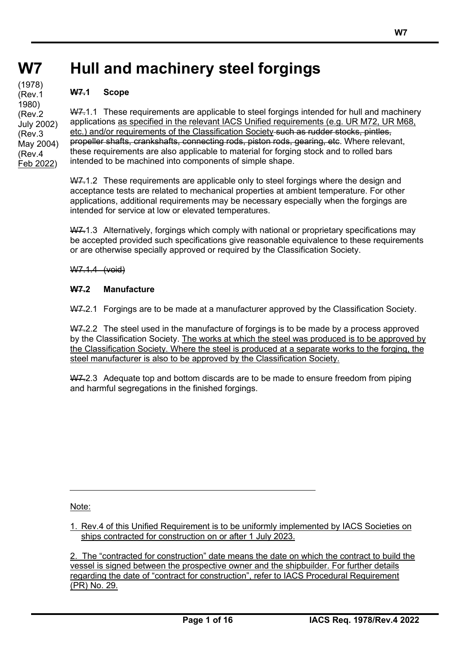#### **W7 W7 Hull and machinery steel forgings**

# **W7.1 Scope**

**(cont)** (1978)

(Rev.1 1980) (Rev.2

(Rev.3

(Rev.4

W7.1.1 These requirements are applicable to steel forgings intended for hull and machinery applications as specified in the relevant IACS Unified requirements (e.g. UR M72, UR M68, etc.) and/or requirements of the Classification Society such as rudder stocks, pintles, propeller shafts, crankshafts, connecting rods, piston rods, gearing, etc. Where relevant, these requirements are also applicable to material for forging stock and to rolled bars intended to be machined into components of simple shape. July 2002) May 2004) Feb 2022)

> W7.1.2 These requirements are applicable only to steel forgings where the design and acceptance tests are related to mechanical properties at ambient temperature. For other applications, additional requirements may be necessary especially when the forgings are intended for service at low or elevated temperatures.

W7.1.3 Alternatively, forgings which comply with national or proprietary specifications may be accepted provided such specifications give reasonable equivalence to these requirements or are otherwise specially approved or required by the Classification Society.

W7.1.4 (void)

# **W7.2 Manufacture**

W7.2.1 Forgings are to be made at a manufacturer approved by the Classification Society.

W7.2.2 The steel used in the manufacture of forgings is to be made by a process approved by the Classification Society. The works at which the steel was produced is to be approved by the Classification Society. Where the steel is produced at a separate works to the forging, the steel manufacturer is also to be approved by the Classification Society.

W7.2.3 Adequate top and bottom discards are to be made to ensure freedom from piping and harmful segregations in the finished forgings.

Note:

1. Rev.4 of this Unified Requirement is to be uniformly implemented by IACS Societies on ships contracted for construction on or after 1 July 2023.

2. The "contracted for construction" date means the date on which the contract to build the vessel is signed between the prospective owner and the shipbuilder. For further details regarding the date of "contract for construction", refer to IACS Procedural Requirement (PR) No. 29.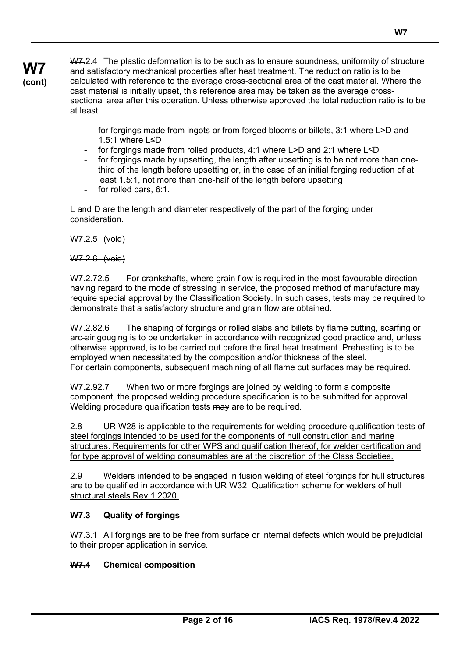W7.2.4 The plastic deformation is to be such as to ensure soundness, uniformity of structure and satisfactory mechanical properties after heat treatment. The reduction ratio is to be calculated with reference to the average cross-sectional area of the cast material. Where the cast material is initially upset, this reference area may be taken as the average crosssectional area after this operation. Unless otherwise approved the total reduction ratio is to be at least:

- for forgings made from ingots or from forged blooms or billets, 3:1 where L>D and 1.5:1 where L≤D
- for forgings made from rolled products, 4:1 where L>D and 2:1 where L≤D
- for forgings made by upsetting, the length after upsetting is to be not more than onethird of the length before upsetting or, in the case of an initial forging reduction of at least 1.5:1, not more than one-half of the length before upsetting
- for rolled bars, 6:1.

L and D are the length and diameter respectively of the part of the forging under consideration.

W7.2.5 (void)

W7.2.6 (void)

W7.2.72.5 For crankshafts, where grain flow is required in the most favourable direction having regard to the mode of stressing in service, the proposed method of manufacture may require special approval by the Classification Society. In such cases, tests may be required to demonstrate that a satisfactory structure and grain flow are obtained.

W7.2.82.6 The shaping of forgings or rolled slabs and billets by flame cutting, scarfing or arc-air gouging is to be undertaken in accordance with recognized good practice and, unless otherwise approved, is to be carried out before the final heat treatment. Preheating is to be employed when necessitated by the composition and/or thickness of the steel. For certain components, subsequent machining of all flame cut surfaces may be required.

W7.2.92.7 When two or more forgings are joined by welding to form a composite component, the proposed welding procedure specification is to be submitted for approval. Welding procedure qualification tests may are to be required.

2.8 UR W28 is applicable to the requirements for welding procedure qualification tests of steel forgings intended to be used for the components of hull construction and marine structures. Requirements for other WPS and qualification thereof, for welder certification and for type approval of welding consumables are at the discretion of the Class Societies.

2.9 Welders intended to be engaged in fusion welding of steel forgings for hull structures are to be qualified in accordance with UR W32: Qualification scheme for welders of hull structural steels Rev.1 2020.

# **W7.3 Quality of forgings**

W7.3.1 All forgings are to be free from surface or internal defects which would be prejudicial to their proper application in service.

# **W7.4 Chemical composition**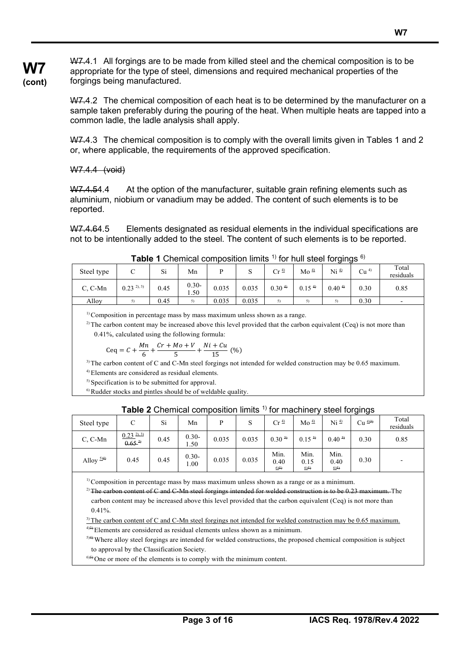W7.4.1 All forgings are to be made from killed steel and the chemical composition is to be appropriate for the type of steel, dimensions and required mechanical properties of the forgings being manufactured.

W7.4.2 The chemical composition of each heat is to be determined by the manufacturer on a sample taken preferably during the pouring of the heat. When multiple heats are tapped into a common ladle, the ladle analysis shall apply.

W7.4.3 The chemical composition is to comply with the overall limits given in Tables 1 and 2 or, where applicable, the requirements of the approved specification.

# W7.4.4 (void)

W7.4.54.4 At the option of the manufacturer, suitable grain refining elements such as aluminium, niobium or vanadium may be added. The content of such elements is to be reported.

W7.4.64.5 Elements designated as residual elements in the individual specifications are not to be intentionally added to the steel. The content of such elements is to be reported.

| $\blacksquare$<br>סטוווטוסו וטטוס וואוד וטו |                 |      |               |       |       |                    |                   |                    |                 |                    |  |
|---------------------------------------------|-----------------|------|---------------|-------|-------|--------------------|-------------------|--------------------|-----------------|--------------------|--|
| Steel type                                  | ◡               | Si   | Mn            |       |       | $Cr^{\frac{4}{2}}$ | Mo <sup>4</sup>   | Ni <sup>4</sup>    | Cu <sup>4</sup> | Total<br>residuals |  |
| C. C-Mn                                     | $0.23^{2}$ , 3) | 0.45 | $0.30-$<br>50 | 0.035 | 0.035 | 0.30 <sup>4</sup>  | 0.15 <sup>4</sup> | $0.40 \frac{4}{7}$ | 0.30            | 0.85               |  |
| Alloy                                       |                 | 0.45 | 5)            | 0.035 | 0.035 | 5)                 | 5)                | 5)                 | 0.30            |                    |  |

**Table 1** Chemical composition limits <sup>1)</sup> for hull steel forgings  $6$ 

 $<sup>1)</sup>$  Composition in percentage mass by mass maximum unless shown as a range.</sup>

 $2)$  The carbon content may be increased above this level provided that the carbon equivalent (Ceq) is not more than 0.41%, calculated using the following formula:

$$
Ceq = C + \frac{Mn}{6} + \frac{Cr + Mo + V}{5} + \frac{Ni + Cu}{15}
$$
 (%)

 $3$ ) The carbon content of C and C-Mn steel forgings not intended for welded construction may be 0.65 maximum.

4) Elements are considered as residual elements.

<sup>5)</sup> Specification is to be submitted for approval.

6) Rudder stocks and pintles should be of weldable quality.

|             |                                        |      |                 |       |       | .                   |                               | $0.001101$ guigo    |                    |                    |
|-------------|----------------------------------------|------|-----------------|-------|-------|---------------------|-------------------------------|---------------------|--------------------|--------------------|
| Steel type  | С                                      | Si   | Mn              | D     |       | $Cr^{\frac{4}{2}}$  | $\mathrm{Mo} \xrightarrow{4}$ | Ni <sup>4</sup>     | $Cu$ $\frac{4}{3}$ | Total<br>residuals |
| C, C-Mn     | $0.23^{21.31}$<br>$\frac{0.65^{2}}{2}$ | 0.45 | $0.30-$<br>1.50 | 0.035 | 0.035 | $0.30 \frac{3}{2}$  | $0.15 \frac{3}{2}$            | $0.40 \frac{3}{2}$  | 0.30               | 0.85               |
| Alloy $514$ | 0.45                                   | 0.45 | $0.30-$<br>00.1 | 0.035 | 0.035 | Min.<br>0.40<br>6)5 | Min.<br>0.15<br>6)5           | Min.<br>0.40<br>6)5 | 0.30               |                    |

#### **Table 2** Chemical composition limits <sup>1)</sup> for machinery steel forgings

 $1)$  Composition in percentage mass by mass maximum unless shown as a range or as a minimum.

<sup>2)</sup> The carbon content of C and C-Mn steel forgings intended for welded construction is to be 0.23 maximum. The carbon content may be increased above this level provided that the carbon equivalent (Ceq) is not more than  $0.41\%$ .

<sup>3)</sup> The carbon content of C and C-Mn steel forgings not intended for welded construction may be 0.65 maximum.  $^{4)}$ )<sup>4)4)</sup> Elements are considered as residual elements unless shown as a minimum.

5)4) Where alloy steel forgings are intended for welded constructions, the proposed chemical composition is subject to approval by the Classification Society.

 $^{6(5)}$ One or more of the elements is to comply with the minimum content.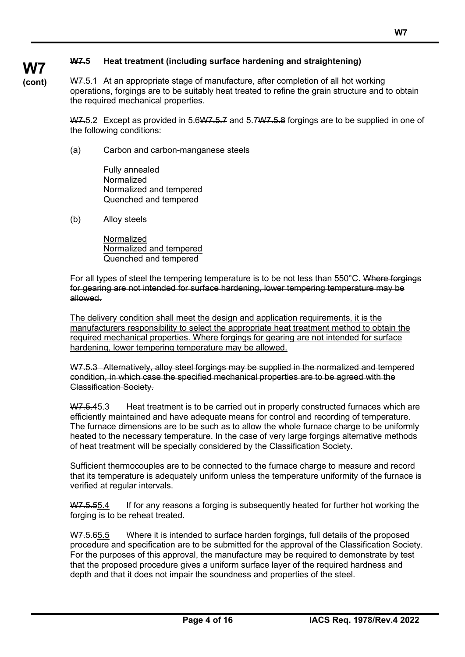# **W7.5 Heat treatment (including surface hardening and straightening)**

**W7 (cont)**

W7.5.1 At an appropriate stage of manufacture, after completion of all hot working operations, forgings are to be suitably heat treated to refine the grain structure and to obtain the required mechanical properties.

W7.5.2 Except as provided in 5.6W7.5.7 and 5.7W7.5.8 forgings are to be supplied in one of the following conditions:

(a) Carbon and carbon-manganese steels

Fully annealed **Normalized** Normalized and tempered Quenched and tempered

(b) Alloy steels

Normalized Normalized and tempered Quenched and tempered

For all types of steel the tempering temperature is to be not less than 550°C. Where forgings for gearing are not intended for surface hardening, lower tempering temperature may be allowed.

The delivery condition shall meet the design and application requirements, it is the manufacturers responsibility to select the appropriate heat treatment method to obtain the required mechanical properties. Where forgings for gearing are not intended for surface hardening, lower tempering temperature may be allowed.

W7.5.3 Alternatively, alloy steel forgings may be supplied in the normalized and tempered condition, in which case the specified mechanical properties are to be agreed with the Classification Society.

W7.5.45.3 Heat treatment is to be carried out in properly constructed furnaces which are efficiently maintained and have adequate means for control and recording of temperature. The furnace dimensions are to be such as to allow the whole furnace charge to be uniformly heated to the necessary temperature. In the case of very large forgings alternative methods of heat treatment will be specially considered by the Classification Society.

Sufficient thermocouples are to be connected to the furnace charge to measure and record that its temperature is adequately uniform unless the temperature uniformity of the furnace is verified at regular intervals.

W7.5.55.4 If for any reasons a forging is subsequently heated for further hot working the forging is to be reheat treated.

W7.5.65.5 Where it is intended to surface harden forgings, full details of the proposed procedure and specification are to be submitted for the approval of the Classification Society. For the purposes of this approval, the manufacture may be required to demonstrate by test that the proposed procedure gives a uniform surface layer of the required hardness and depth and that it does not impair the soundness and properties of the steel.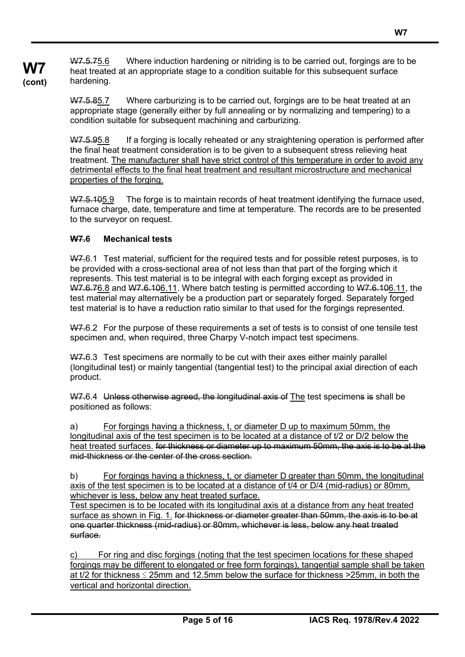**W7 (cont)** W7.5.75.6 Where induction hardening or nitriding is to be carried out, forgings are to be heat treated at an appropriate stage to a condition suitable for this subsequent surface hardening.

> W7.5.85.7 Where carburizing is to be carried out, forgings are to be heat treated at an appropriate stage (generally either by full annealing or by normalizing and tempering) to a condition suitable for subsequent machining and carburizing.

W7.5.95.8 If a forging is locally reheated or any straightening operation is performed after the final heat treatment consideration is to be given to a subsequent stress relieving heat treatment. The manufacturer shall have strict control of this temperature in order to avoid any detrimental effects to the final heat treatment and resultant microstructure and mechanical properties of the forging.

W7.5.105.9 The forge is to maintain records of heat treatment identifying the furnace used, furnace charge, date, temperature and time at temperature. The records are to be presented to the surveyor on request.

# **W7.6 Mechanical tests**

W7.6.1 Test material, sufficient for the required tests and for possible retest purposes, is to be provided with a cross-sectional area of not less than that part of the forging which it represents. This test material is to be integral with each forging except as provided in W7.6.76.8 and W7.6.106.11. Where batch testing is permitted according to W7.6.106.11, the test material may alternatively be a production part or separately forged. Separately forged test material is to have a reduction ratio similar to that used for the forgings represented.

W7.6.2 For the purpose of these requirements a set of tests is to consist of one tensile test specimen and, when required, three Charpy V-notch impact test specimens.

W7.6.3 Test specimens are normally to be cut with their axes either mainly parallel (longitudinal test) or mainly tangential (tangential test) to the principal axial direction of each product.

W7.6.4 Unless otherwise agreed, the longitudinal axis of The test specimens is shall be positioned as follows:

a) For forgings having a thickness, t, or diameter D up to maximum 50mm, the longitudinal axis of the test specimen is to be located at a distance of t/2 or D/2 below the heat treated surfaces. for thickness or diameter up to maximum 50mm, the axis is to be at the mid-thickness or the center of the cross section.

b) For forgings having a thickness, t, or diameter D greater than 50mm, the longitudinal axis of the test specimen is to be located at a distance of t/4 or D/4 (mid-radius) or 80mm, whichever is less, below any heat treated surface.

Test specimen is to be located with its longitudinal axis at a distance from any heat treated surface as shown in Fig. 1. for thickness or diameter greater than 50mm, the axis is to be at one quarter thickness (mid-radius) or 80mm, whichever is less, below any heat treated surface.

c) For ring and disc forgings (noting that the test specimen locations for these shaped forgings may be different to elongated or free form forgings), tangential sample shall be taken at t/2 for thickness  $\leq$  25mm and 12.5mm below the surface for thickness > 25mm, in both the vertical and horizontal direction.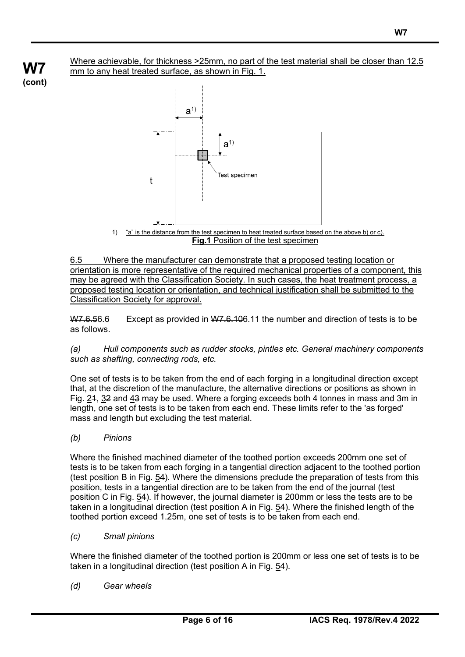Where achievable, for thickness >25mm, no part of the test material shall be closer than 12.5 mm to any heat treated surface, as shown in Fig. 1.



6.5 Where the manufacturer can demonstrate that a proposed testing location or orientation is more representative of the required mechanical properties of a component, this may be agreed with the Classification Society. In such cases, the heat treatment process, a proposed testing location or orientation, and technical justification shall be submitted to the Classification Society for approval.

W7.6.56.6 Except as provided in W7.6.106.11 the number and direction of tests is to be as follows.

*(a) Hull components such as rudder stocks, pintles etc. General machinery components such as shafting, connecting rods, etc.*

One set of tests is to be taken from the end of each forging in a longitudinal direction except that, at the discretion of the manufacture, the alternative directions or positions as shown in Fig. 24, 32 and 43 may be used. Where a forging exceeds both 4 tonnes in mass and 3m in length, one set of tests is to be taken from each end. These limits refer to the 'as forged' mass and length but excluding the test material.

*(b) Pinions*

**W7 (cont)**

> Where the finished machined diameter of the toothed portion exceeds 200mm one set of tests is to be taken from each forging in a tangential direction adjacent to the toothed portion (test position B in Fig. 54). Where the dimensions preclude the preparation of tests from this position, tests in a tangential direction are to be taken from the end of the journal (test position C in Fig. 54). If however, the journal diameter is 200mm or less the tests are to be taken in a longitudinal direction (test position A in Fig.  $54$ ). Where the finished length of the toothed portion exceed 1.25m, one set of tests is to be taken from each end.

*(c) Small pinions*

Where the finished diameter of the toothed portion is 200mm or less one set of tests is to be taken in a longitudinal direction (test position A in Fig. 54).

*(d) Gear wheels*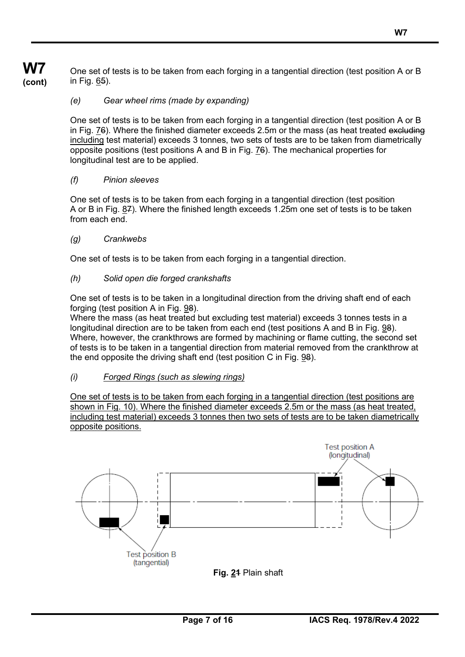One set of tests is to be taken from each forging in a tangential direction (test position A or B in Fig. 65).

### *(e) Gear wheel rims (made by expanding)*

One set of tests is to be taken from each forging in a tangential direction (test position A or B in Fig. 76). Where the finished diameter exceeds 2.5m or the mass (as heat treated excluding including test material) exceeds 3 tonnes, two sets of tests are to be taken from diametrically opposite positions (test positions A and B in Fig. 76). The mechanical properties for longitudinal test are to be applied.

#### *(f) Pinion sleeves*

One set of tests is to be taken from each forging in a tangential direction (test position A or B in Fig. 87). Where the finished length exceeds 1.25m one set of tests is to be taken from each end.

#### *(g) Crankwebs*

One set of tests is to be taken from each forging in a tangential direction.

### *(h) Solid open die forged crankshafts*

One set of tests is to be taken in a longitudinal direction from the driving shaft end of each forging (test position A in Fig. 98).

Where the mass (as heat treated but excluding test material) exceeds 3 tonnes tests in a longitudinal direction are to be taken from each end (test positions A and B in Fig. 98). Where, however, the crankthrows are formed by machining or flame cutting, the second set of tests is to be taken in a tangential direction from material removed from the crankthrow at the end opposite the driving shaft end (test position C in Fig. 98).

#### *(i) Forged Rings (such as slewing rings)*

One set of tests is to be taken from each forging in a tangential direction (test positions are shown in Fig. 10). Where the finished diameter exceeds 2.5m or the mass (as heat treated, including test material) exceeds 3 tonnes then two sets of tests are to be taken diametrically opposite positions.



**W7 (cont)**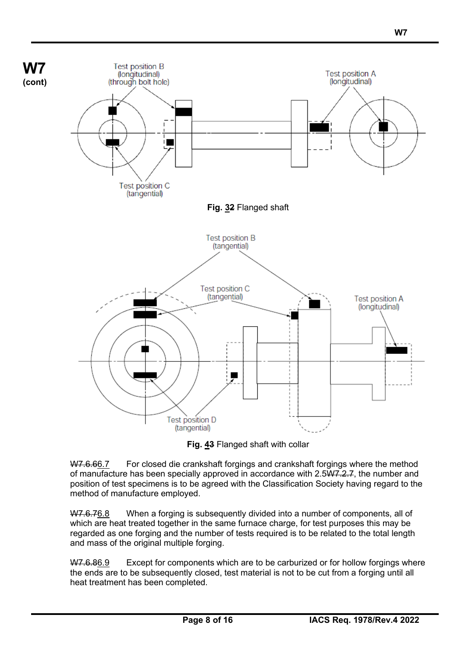

**Fig. 43** Flanged shaft with collar

W7.6.66.7 For closed die crankshaft forgings and crankshaft forgings where the method of manufacture has been specially approved in accordance with  $2.5\overline{W7.2.7}$ , the number and position of test specimens is to be agreed with the Classification Society having regard to the method of manufacture employed.

W7.6.76.8 When a forging is subsequently divided into a number of components, all of which are heat treated together in the same furnace charge, for test purposes this may be regarded as one forging and the number of tests required is to be related to the total length and mass of the original multiple forging.

W7.6.86.9 Except for components which are to be carburized or for hollow forgings where the ends are to be subsequently closed, test material is not to be cut from a forging until all heat treatment has been completed.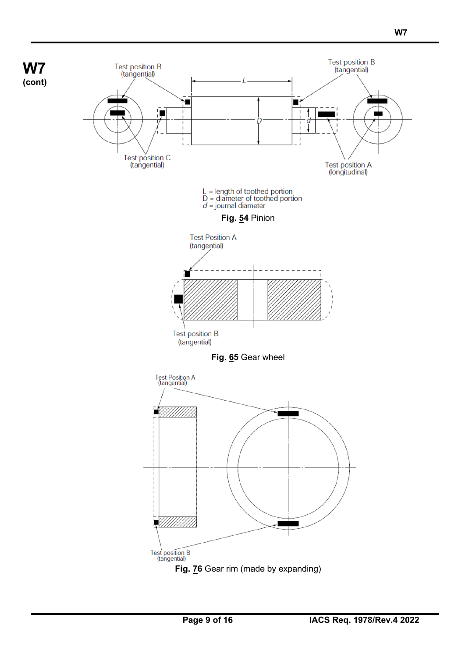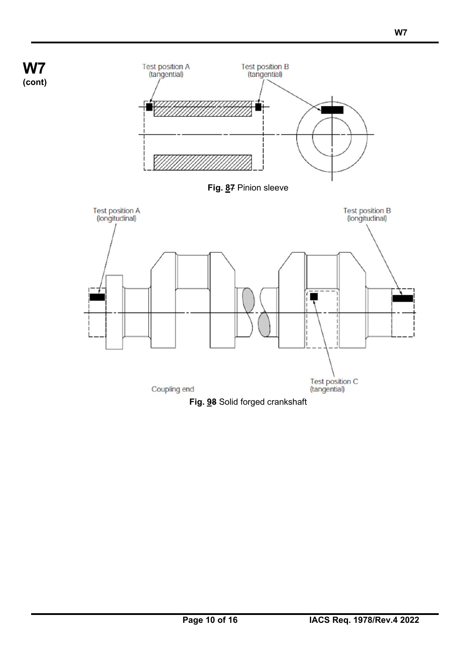**W7 (cont)**





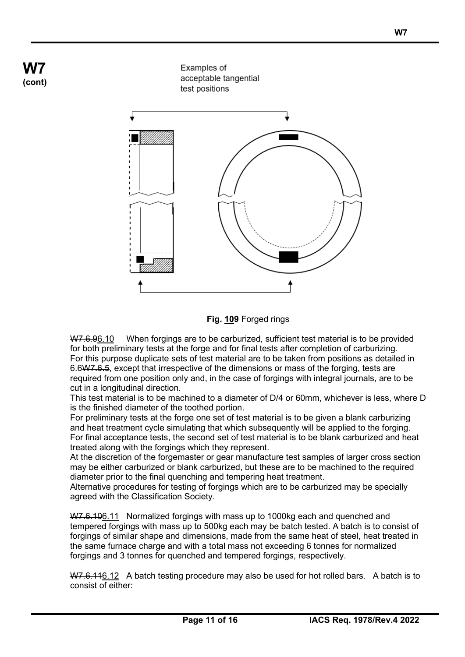



W7.6.96.10 When forgings are to be carburized, sufficient test material is to be provided for both preliminary tests at the forge and for final tests after completion of carburizing. For this purpose duplicate sets of test material are to be taken from positions as detailed in 6.6W7.6.5, except that irrespective of the dimensions or mass of the forging, tests are required from one position only and, in the case of forgings with integral journals, are to be cut in a longitudinal direction.

This test material is to be machined to a diameter of D/4 or 60mm, whichever is less, where D is the finished diameter of the toothed portion.

For preliminary tests at the forge one set of test material is to be given a blank carburizing and heat treatment cycle simulating that which subsequently will be applied to the forging. For final acceptance tests, the second set of test material is to be blank carburized and heat treated along with the forgings which they represent.

At the discretion of the forgemaster or gear manufacture test samples of larger cross section may be either carburized or blank carburized, but these are to be machined to the required diameter prior to the final quenching and tempering heat treatment.

Alternative procedures for testing of forgings which are to be carburized may be specially agreed with the Classification Society.

W7.6.106.11 Normalized forgings with mass up to 1000kg each and quenched and tempered forgings with mass up to 500kg each may be batch tested. A batch is to consist of forgings of similar shape and dimensions, made from the same heat of steel, heat treated in the same furnace charge and with a total mass not exceeding 6 tonnes for normalized forgings and 3 tonnes for quenched and tempered forgings, respectively.

W7.6.116.12 A batch testing procedure may also be used for hot rolled bars. A batch is to consist of either: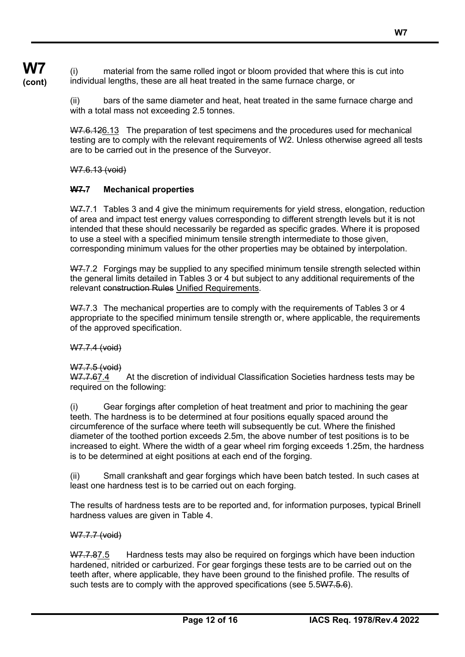**W7 (cont)** (i) material from the same rolled ingot or bloom provided that where this is cut into individual lengths, these are all heat treated in the same furnace charge, or

> (ii) bars of the same diameter and heat, heat treated in the same furnace charge and with a total mass not exceeding 2.5 tonnes.

W7.6.126.13 The preparation of test specimens and the procedures used for mechanical testing are to comply with the relevant requirements of W2. Unless otherwise agreed all tests are to be carried out in the presence of the Surveyor.

W7.6.13 (void)

# **W7.7 Mechanical properties**

W7.7.1 Tables 3 and 4 give the minimum requirements for yield stress, elongation, reduction of area and impact test energy values corresponding to different strength levels but it is not intended that these should necessarily be regarded as specific grades. Where it is proposed to use a steel with a specified minimum tensile strength intermediate to those given, corresponding minimum values for the other properties may be obtained by interpolation.

W7.7.2 Forgings may be supplied to any specified minimum tensile strength selected within the general limits detailed in Tables 3 or 4 but subject to any additional requirements of the relevant construction Rules Unified Requirements.

W7.7.3 The mechanical properties are to comply with the requirements of Tables 3 or 4 appropriate to the specified minimum tensile strength or, where applicable, the requirements of the approved specification.

W7.7.4 (void)

#### W7.7.5 (void)

W7.7.67.4 At the discretion of individual Classification Societies hardness tests may be required on the following:

(i) Gear forgings after completion of heat treatment and prior to machining the gear teeth. The hardness is to be determined at four positions equally spaced around the circumference of the surface where teeth will subsequently be cut. Where the finished diameter of the toothed portion exceeds 2.5m, the above number of test positions is to be increased to eight. Where the width of a gear wheel rim forging exceeds 1.25m, the hardness is to be determined at eight positions at each end of the forging.

(ii) Small crankshaft and gear forgings which have been batch tested. In such cases at least one hardness test is to be carried out on each forging.

The results of hardness tests are to be reported and, for information purposes, typical Brinell hardness values are given in Table 4.

#### W7.7.7 (void)

W7.7.87.5 Hardness tests may also be required on forgings which have been induction hardened, nitrided or carburized. For gear forgings these tests are to be carried out on the teeth after, where applicable, they have been ground to the finished profile. The results of such tests are to comply with the approved specifications (see 5.5W7.5.6).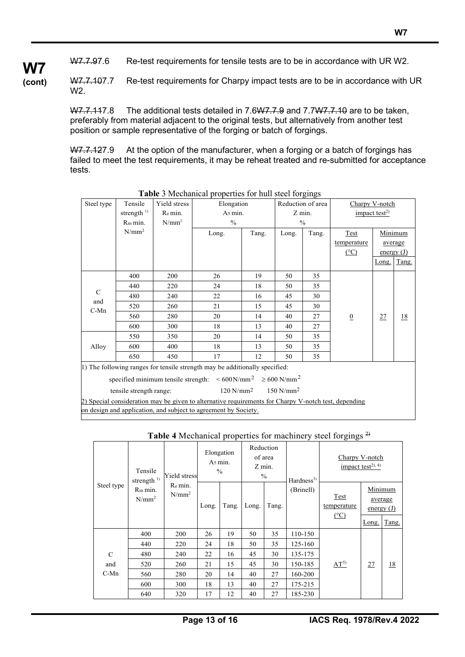**W7 (cont)**

W7.7.107.7 Re-test requirements for Charpy impact tests are to be in accordance with UR W2.

W7.7.117.8 The additional tests detailed in 7.6W7.7.9 and 7.7W7.7.10 are to be taken, preferably from material adjacent to the original tests, but alternatively from another test position or sample representative of the forging or batch of forgings.

W7.7.127.9 At the option of the manufacturer, when a forging or a batch of forgings has failed to meet the test requirements, it may be reheat treated and re-submitted for acceptance tests.

|  |                              |                         |              | O.<br>$\circ$                                                                                        |       |                         |                   |                                         |       |              |  |
|--|------------------------------|-------------------------|--------------|------------------------------------------------------------------------------------------------------|-------|-------------------------|-------------------|-----------------------------------------|-------|--------------|--|
|  | Steel type                   | Tensile                 | Yield stress | Elongation                                                                                           |       |                         | Reduction of area | Charpy V-notch                          |       |              |  |
|  |                              | strength <sup>1)</sup>  | Re min.      | As min.                                                                                              |       | Z min.                  |                   | $\frac{1}{2}$ impact test <sup>2)</sup> |       |              |  |
|  |                              | R <sub>m</sub> min.     | $N/mm^2$     | $\frac{0}{0}$                                                                                        |       |                         | $\frac{0}{0}$     |                                         |       |              |  |
|  |                              | $N/mm^2$                |              | Long.                                                                                                | Tang. | Long.                   | Tang.             | Test                                    |       | Minimum      |  |
|  |                              |                         |              |                                                                                                      |       |                         |                   | temperature                             |       | average      |  |
|  |                              |                         |              |                                                                                                      |       |                         |                   | $(^{\circ}C)$                           |       | energy $(J)$ |  |
|  |                              |                         |              |                                                                                                      |       |                         |                   |                                         | Long. | Tang.        |  |
|  |                              | 400                     | 200          | 26                                                                                                   | 19    | 50                      | 35                |                                         |       |              |  |
|  | $\mathbf C$<br>and<br>$C-Mn$ | 440                     | 220          | 24                                                                                                   | 18    | 50                      | 35                |                                         |       |              |  |
|  |                              | 480                     | 240          | 22                                                                                                   | 16    | 45                      | 30                |                                         |       |              |  |
|  |                              | 520                     | 260          | 21                                                                                                   | 15    | 45                      | 30                |                                         |       |              |  |
|  |                              | 560                     | 280          | 20                                                                                                   | 14    | 40                      | 27                | $\boldsymbol{0}$                        | 27    | 18           |  |
|  |                              | 600                     | 300          | 18                                                                                                   | 13    | 40                      | 27                |                                         |       |              |  |
|  |                              | 550                     | 350          | 20                                                                                                   | 14    | 50                      | 35                |                                         |       |              |  |
|  | Alloy                        | 600                     | 400          | 18                                                                                                   | 13    | 50                      | 35                |                                         |       |              |  |
|  |                              | 650                     | 450          | 17                                                                                                   | 12    | 50                      | 35                |                                         |       |              |  |
|  |                              |                         |              | 1) The following ranges for tensile strength may be additionally specified:                          |       |                         |                   |                                         |       |              |  |
|  |                              |                         |              | specified minimum tensile strength: $\leq 600 \,\mathrm{N/mm^2} \geq 600 \,\mathrm{N/mm^2}$          |       |                         |                   |                                         |       |              |  |
|  |                              | tensile strength range: |              | $120$ N/mm <sup>2</sup>                                                                              |       | $150$ N/mm <sup>2</sup> |                   |                                         |       |              |  |
|  |                              |                         |              | 2) Special consideration may be given to alternative requirements for Charpy V-notch test, depending |       |                         |                   |                                         |       |              |  |
|  |                              |                         |              | on design and application, and subject to agreement by Society.                                      |       |                         |                   |                                         |       |              |  |
|  |                              |                         |              |                                                                                                      |       |                         |                   |                                         |       |              |  |

 **Table** 3 Mechanical properties for hull steel forgings

| Table 4 Mechanical properties for machinery steel forgings $2$ |  |  |
|----------------------------------------------------------------|--|--|
|                                                                |  |  |

| Steel type  | Tensile<br>strength $^{\rm l)}$ | Yield stress        |       | Elongation<br>As min.<br>$\frac{0}{0}$ |       | Reduction<br>of area<br>Z min.<br>$\%$ | Hardness <sup>3</sup> |                                      | Charpy V-notch<br>impact test <sup>2), 4)</sup> |                  |
|-------------|---------------------------------|---------------------|-------|----------------------------------------|-------|----------------------------------------|-----------------------|--------------------------------------|-------------------------------------------------|------------------|
|             | R <sub>m</sub> min.<br>$N/mm^2$ | Re min.<br>$N/mm^2$ | Long. | Tang.                                  | Long. | Tang.                                  | (Brinell)             | Test<br>temperature<br>$(^{\circ}C)$ | Minimum<br>energy $(J)$<br>Long.                | average<br>Tang. |
|             | 400                             | 200                 | 26    | 19                                     | 50    | 35                                     | 110-150               | $AT^{5}$                             |                                                 |                  |
|             | 440                             | 220                 | 24    | 18                                     | 50    | 35                                     | 125-160               |                                      |                                                 |                  |
| $\mathbf C$ | 480                             | 240                 | 22    | 16                                     | 45    | 30                                     | 135-175               |                                      | 27                                              |                  |
| and         | 520                             | 260                 | 21    | 15                                     | 45    | 30                                     | 150-185               |                                      |                                                 | <u>18</u>        |
| $C-Mn$      | 560                             | 280                 | 20    | 14                                     | 40    | 27                                     | 160-200               |                                      |                                                 |                  |
|             | 600                             | 300                 | 18    | 13                                     | 40    | 27                                     | 175-215               |                                      |                                                 |                  |
|             | 640                             | 320                 | 17    | 12                                     | 40    | 27                                     | 185-230               |                                      |                                                 |                  |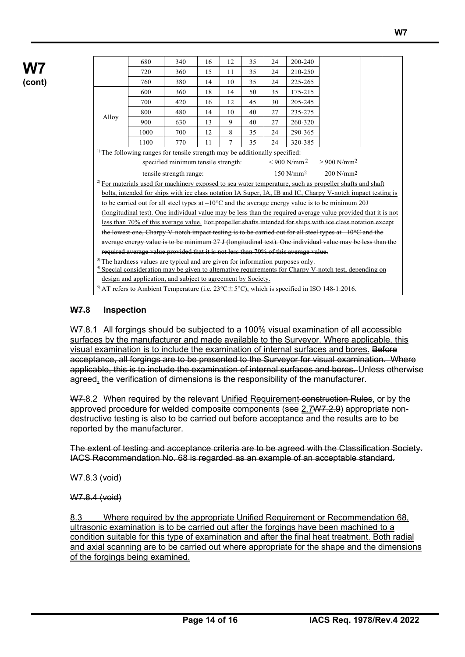|       | 680                                                                                        | 340                                 | 16 | 12 | 35 | 24 | 200-240                   |                                                                                                                    |  |
|-------|--------------------------------------------------------------------------------------------|-------------------------------------|----|----|----|----|---------------------------|--------------------------------------------------------------------------------------------------------------------|--|
|       | 720                                                                                        | 360                                 | 15 | 11 | 35 | 24 | 210-250                   |                                                                                                                    |  |
|       | 760                                                                                        | 380                                 | 14 | 10 | 35 | 24 | 225-265                   |                                                                                                                    |  |
|       | 600                                                                                        | 360                                 | 18 | 14 | 50 | 35 | 175-215                   |                                                                                                                    |  |
|       | 700                                                                                        | 420                                 | 16 | 12 | 45 | 30 | 205-245                   |                                                                                                                    |  |
|       | 800                                                                                        | 480                                 | 14 | 10 | 40 | 27 | 235-275                   |                                                                                                                    |  |
| Alloy | 900                                                                                        | 630                                 | 13 | 9  | 40 | 27 | 260-320                   |                                                                                                                    |  |
|       | 1000                                                                                       | 700                                 | 12 | 8  | 35 | 24 | 290-365                   |                                                                                                                    |  |
|       | 1100                                                                                       | 770                                 | 11 | 7  | 35 | 24 | 320-385                   |                                                                                                                    |  |
|       | <sup>1)</sup> The following ranges for tensile strength may be additionally specified:     |                                     |    |    |    |    |                           |                                                                                                                    |  |
|       |                                                                                            | specified minimum tensile strength: |    |    |    |    | $< 900$ N/mm <sup>2</sup> | $> 900$ N/mm <sup>2</sup>                                                                                          |  |
|       |                                                                                            | tensile strength range:             |    |    |    |    | $150 N/mm^2$              | $200$ N/mm <sup>2</sup>                                                                                            |  |
|       |                                                                                            |                                     |    |    |    |    |                           | $^{2}$ For materials used for machinery exposed to sea water temperature, such as propeller shafts and shaft       |  |
|       |                                                                                            |                                     |    |    |    |    |                           | bolts, intended for ships with ice class notation IA Super, IA, IB and IC, Charpy V-notch impact testing is        |  |
|       |                                                                                            |                                     |    |    |    |    |                           | to be carried out for all steel types at $-10^{\circ}$ C and the average energy value is to be minimum 20J         |  |
|       |                                                                                            |                                     |    |    |    |    |                           | (longitudinal test). One individual value may be less than the required average value provided that it is not      |  |
|       |                                                                                            |                                     |    |    |    |    |                           | less than 70% of this average value. For propeller shafts intended for ships with ice class notation except        |  |
|       |                                                                                            |                                     |    |    |    |    |                           | the lowest one, Charpy V-noteh impact testing is to be carried out for all steel types at $-10^{\circ}$ C and the  |  |
|       |                                                                                            |                                     |    |    |    |    |                           | average energy value is to be minimum 27 J (longitudinal test). One individual value may be less than the          |  |
|       | required average value provided that it is not less than 70% of this average value.        |                                     |    |    |    |    |                           |                                                                                                                    |  |
|       | <sup>3)</sup> The hardness values are typical and are given for information purposes only. |                                     |    |    |    |    |                           |                                                                                                                    |  |
|       |                                                                                            |                                     |    |    |    |    |                           | $\frac{4}{3}$ Special consideration may be given to alternative requirements for Charpy V-notch test, depending on |  |
|       | design and application, and subject to agreement by Society.                               |                                     |    |    |    |    |                           |                                                                                                                    |  |

<sup>5)</sup> AT refers to Ambient Temperature (i.e.  $23^{\circ}$ C $\pm$ 5°C), which is specified in ISO 148-1:2016.

### **W7.8 Inspection**

W7.8.1 All forgings should be subjected to a 100% visual examination of all accessible surfaces by the manufacturer and made available to the Surveyor. Where applicable, this visual examination is to include the examination of internal surfaces and bores. Before acceptance, all forgings are to be presented to the Surveyor for visual examination. Where applicable, this is to include the examination of internal surfaces and bores. Unless otherwise agreed, the verification of dimensions is the responsibility of the manufacturer.

W7.8.2 When required by the relevant Unified Requirement construction Rules, or by the approved procedure for welded composite components (see 2.7W7.2.9) appropriate nondestructive testing is also to be carried out before acceptance and the results are to be reported by the manufacturer.

The extent of testing and acceptance criteria are to be agreed with the Classification Society. IACS Recommendation No. 68 is regarded as an example of an acceptable standard.

W7.8.3 (void)

W7.8.4 (void)

8.3 Where required by the appropriate Unified Requirement or Recommendation 68, ultrasonic examination is to be carried out after the forgings have been machined to a condition suitable for this type of examination and after the final heat treatment. Both radial and axial scanning are to be carried out where appropriate for the shape and the dimensions of the forgings being examined.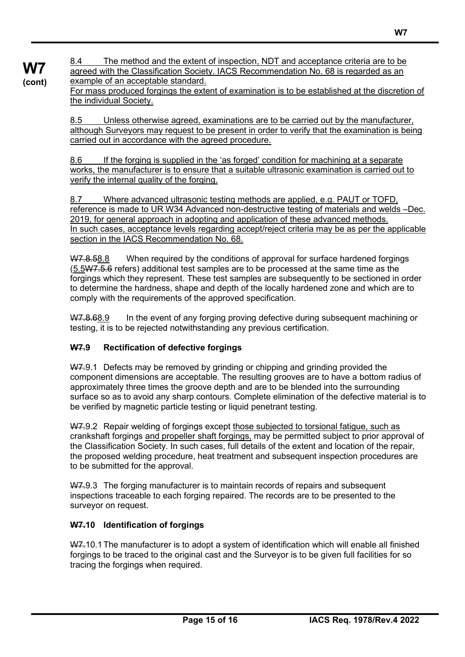8.4 The method and the extent of inspection, NDT and acceptance criteria are to be agreed with the Classification Society. IACS Recommendation No. 68 is regarded as an example of an acceptable standard.

For mass produced forgings the extent of examination is to be established at the discretion of the individual Society.

8.5 Unless otherwise agreed, examinations are to be carried out by the manufacturer, although Surveyors may request to be present in order to verify that the examination is being carried out in accordance with the agreed procedure.

8.6 If the forging is supplied in the 'as forged' condition for machining at a separate works, the manufacturer is to ensure that a suitable ultrasonic examination is carried out to verify the internal quality of the forging.

8.7 Where advanced ultrasonic testing methods are applied, e.g. PAUT or TOFD, reference is made to UR W34 Advanced non-destructive testing of materials and welds –Dec. 2019, for general approach in adopting and application of these advanced methods. In such cases, acceptance levels regarding accept/reject criteria may be as per the applicable section in the IACS Recommendation No. 68.

W7.8.58.8 When required by the conditions of approval for surface hardened forgings (5.5W7.5.6 refers) additional test samples are to be processed at the same time as the forgings which they represent. These test samples are subsequently to be sectioned in order to determine the hardness, shape and depth of the locally hardened zone and which are to comply with the requirements of the approved specification.

W7.8.68.9 In the event of any forging proving defective during subsequent machining or testing, it is to be rejected notwithstanding any previous certification.

# **W7.9 Rectification of defective forgings**

**W7 (cont)**

> W7.9.1 Defects may be removed by grinding or chipping and grinding provided the component dimensions are acceptable. The resulting grooves are to have a bottom radius of approximately three times the groove depth and are to be blended into the surrounding surface so as to avoid any sharp contours. Complete elimination of the defective material is to be verified by magnetic particle testing or liquid penetrant testing.

> W7.9.2 Repair welding of forgings except those subjected to torsional fatigue, such as crankshaft forgings and propeller shaft forgings, may be permitted subject to prior approval of the Classification Society. In such cases, full details of the extent and location of the repair, the proposed welding procedure, heat treatment and subsequent inspection procedures are to be submitted for the approval.

W7.9.3 The forging manufacturer is to maintain records of repairs and subsequent inspections traceable to each forging repaired. The records are to be presented to the surveyor on request.

# **W7.10 Identification of forgings**

W7.10.1 The manufacturer is to adopt a system of identification which will enable all finished forgings to be traced to the original cast and the Surveyor is to be given full facilities for so tracing the forgings when required.